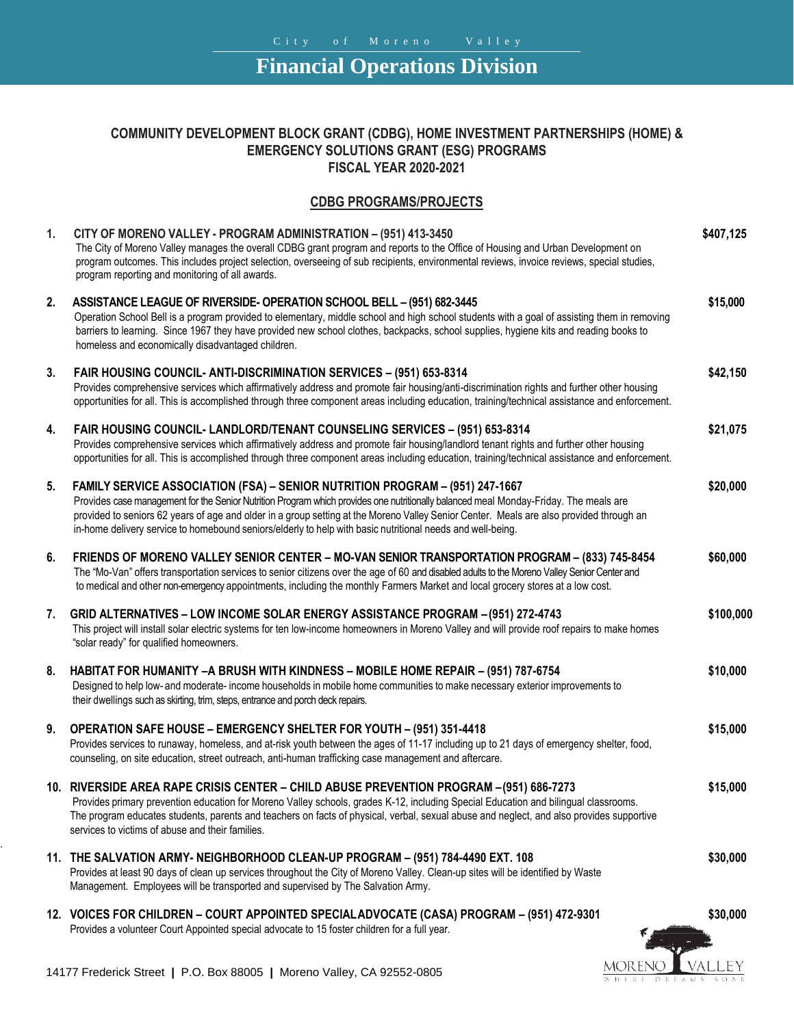## **Financial Operations Division**

## **COMMUNITY DEVELOPMENT BLOCK GRANT (CDBG), HOME INVESTMENT PARTNERSHIPS (HOME) & EMERGENCY SOLUTIONS GRANT (ESG) PROGRAMS FISCAL YEAR 2020-2021**

## **CDBG PROGRAMS/PROJECTS**

| 1. | CITY OF MORENO VALLEY - PROGRAM ADMINISTRATION - (951) 413-3450<br>The City of Moreno Valley manages the overall CDBG grant program and reports to the Office of Housing and Urban Development on<br>program outcomes. This includes project selection, overseeing of sub recipients, environmental reviews, invoice reviews, special studies,<br>program reporting and monitoring of all awards.                                                                              | \$407,125 |
|----|--------------------------------------------------------------------------------------------------------------------------------------------------------------------------------------------------------------------------------------------------------------------------------------------------------------------------------------------------------------------------------------------------------------------------------------------------------------------------------|-----------|
| 2. | ASSISTANCE LEAGUE OF RIVERSIDE- OPERATION SCHOOL BELL - (951) 682-3445<br>Operation School Bell is a program provided to elementary, middle school and high school students with a goal of assisting them in removing<br>barriers to learning. Since 1967 they have provided new school clothes, backpacks, school supplies, hygiene kits and reading books to<br>homeless and economically disadvantaged children.                                                            | \$15,000  |
| 3. | FAIR HOUSING COUNCIL-ANTI-DISCRIMINATION SERVICES - (951) 653-8314<br>Provides comprehensive services which affirmatively address and promote fair housing/anti-discrimination rights and further other housing<br>opportunities for all. This is accomplished through three component areas including education, training/technical assistance and enforcement.                                                                                                               | \$42,150  |
| 4. | FAIR HOUSING COUNCIL- LANDLORD/TENANT COUNSELING SERVICES - (951) 653-8314<br>Provides comprehensive services which affirmatively address and promote fair housing/landlord tenant rights and further other housing<br>opportunities for all. This is accomplished through three component areas including education, training/technical assistance and enforcement.                                                                                                           | \$21,075  |
| 5. | FAMILY SERVICE ASSOCIATION (FSA) - SENIOR NUTRITION PROGRAM - (951) 247-1667<br>Provides case management for the Senior Nutrition Program which provides one nutritionally balanced meal Monday-Friday. The meals are<br>provided to seniors 62 years of age and older in a group setting at the Moreno Valley Senior Center. Meals are also provided through an<br>in-home delivery service to homebound seniors/elderly to help with basic nutritional needs and well-being. | \$20,000  |
| 6. | FRIENDS OF MORENO VALLEY SENIOR CENTER - MO-VAN SENIOR TRANSPORTATION PROGRAM - (833) 745-8454<br>The "Mo-Van" offers transportation services to senior citizens over the age of 60 and disabled adults to the Moreno Valley Senior Center and<br>to medical and other non-emergency appointments, including the monthly Farmers Market and local grocery stores at a low cost.                                                                                                | \$60,000  |
| 7. | GRID ALTERNATIVES - LOW INCOME SOLAR ENERGY ASSISTANCE PROGRAM - (951) 272-4743<br>This project will install solar electric systems for ten low-income homeowners in Moreno Valley and will provide roof repairs to make homes<br>"solar ready" for qualified homeowners.                                                                                                                                                                                                      | \$100,000 |
| 8. | HABITAT FOR HUMANITY - A BRUSH WITH KINDNESS - MOBILE HOME REPAIR - (951) 787-6754<br>Designed to help low- and moderate- income households in mobile home communities to make necessary exterior improvements to<br>their dwellings such as skirting, trim, steps, entrance and porch deck repairs.                                                                                                                                                                           | \$10,000  |
| 9. | <b>OPERATION SAFE HOUSE - EMERGENCY SHELTER FOR YOUTH - (951) 351-4418</b><br>Provides services to runaway, homeless, and at-risk youth between the ages of 11-17 including up to 21 days of emergency shelter, food,<br>counseling, on site education, street outreach, anti-human trafficking case management and aftercare.                                                                                                                                                 | \$15,000  |
|    | 10. RIVERSIDE AREA RAPE CRISIS CENTER - CHILD ABUSE PREVENTION PROGRAM - (951) 686-7273<br>Provides primary prevention education for Moreno Valley schools, grades K-12, including Special Education and bilingual classrooms<br>The program educates students, parents and teachers on facts of physical, verbal, sexual abuse and neglect, and also provides supportive<br>services to victims of abuse and their families.                                                  | \$15,000  |
|    | 11. THE SALVATION ARMY- NEIGHBORHOOD CLEAN-UP PROGRAM - (951) 784-4490 EXT. 108<br>Provides at least 90 days of clean up services throughout the City of Moreno Valley. Clean-up sites will be identified by Waste<br>Management. Employees will be transported and supervised by The Salvation Army.                                                                                                                                                                          | \$30,000  |
|    | 12. VOICES FOR CHILDREN - COURT APPOINTED SPECIAL ADVOCATE (CASA) PROGRAM - (951) 472-9301<br>Provides a volunteer Court Appointed special advocate to 15 foster children for a full year.                                                                                                                                                                                                                                                                                     | \$30,000  |

MORENO VALLEY WHERE DREAMS SOAR